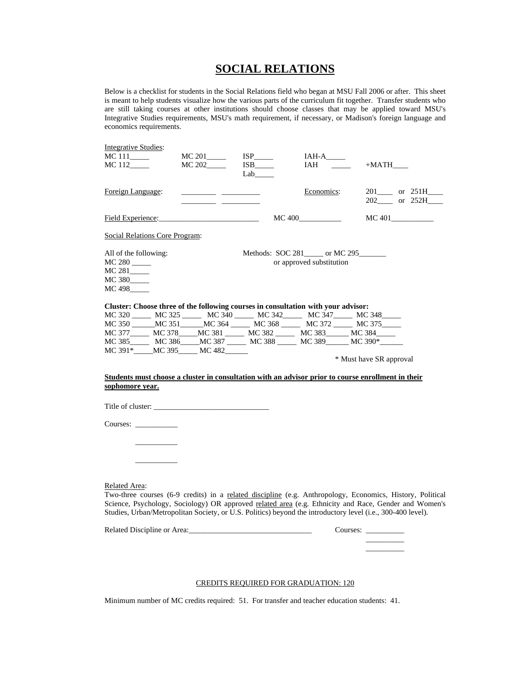## **SOCIAL RELATIONS**

Below is a checklist for students in the Social Relations field who began at MSU Fall 2006 or after. This sheet is meant to help students visualize how the various parts of the curriculum fit together. Transfer students who are still taking courses at other institutions should choose classes that may be applied toward MSU's Integrative Studies requirements, MSU's math requirement, if necessary, or Madison's foreign language and economics requirements.

| <b>Integrative Studies:</b><br>MC 111_____<br>MC 112_____                            |  | MC 201____<br>MC 202_____                                                                                                                                                                                                            | $ISP$<br><b>ISB</b><br>Lab                                                        | $IAH-A$ <sub>_____</sub><br>IAH                                   | $+$ MATH $\_\_$                                                                                                                                                                                                                                                                                                                   |        |  |
|--------------------------------------------------------------------------------------|--|--------------------------------------------------------------------------------------------------------------------------------------------------------------------------------------------------------------------------------------|-----------------------------------------------------------------------------------|-------------------------------------------------------------------|-----------------------------------------------------------------------------------------------------------------------------------------------------------------------------------------------------------------------------------------------------------------------------------------------------------------------------------|--------|--|
| Foreign Language:                                                                    |  | <u> 1980 - John Harry Harry Harry Harry Harry Harry Harry Harry Harry Harry Harry Harry Harry Harry Harry Harry Harry Harry Harry Harry Harry Harry Harry Harry Harry Harry Harry Harry Harry Harry Harry Harry Harry Harry Harr</u> |                                                                                   | Economics:                                                        | $201$ or $251H$ _____<br>202______ or 252H_____                                                                                                                                                                                                                                                                                   |        |  |
| Field Experience:                                                                    |  |                                                                                                                                                                                                                                      |                                                                                   | $MC$ 400                                                          |                                                                                                                                                                                                                                                                                                                                   | MC 401 |  |
| Social Relations Core Program:                                                       |  |                                                                                                                                                                                                                                      |                                                                                   |                                                                   |                                                                                                                                                                                                                                                                                                                                   |        |  |
| All of the following:<br>$MC 280$ <sub>_____</sub><br>MC 281____<br>MC 380<br>MC 498 |  |                                                                                                                                                                                                                                      |                                                                                   | Methods: SOC 281_____ or MC 295______<br>or approved substitution |                                                                                                                                                                                                                                                                                                                                   |        |  |
|                                                                                      |  |                                                                                                                                                                                                                                      | Cluster: Choose three of the following courses in consultation with your advisor: |                                                                   | MC 320 _____ MC 325 _____ MC 340 _____ MC 342 ____ MC 347 ____ MC 348 ____<br>MC 350 ______MC 351 ______MC 364 ________ MC 368 ________ MC 372 _______ MC 375 ______                                                                                                                                                              |        |  |
|                                                                                      |  |                                                                                                                                                                                                                                      | MC 377______ MC 378_____MC 381 _____ MC 382 _____ MC 383______ MC 384_____        |                                                                   |                                                                                                                                                                                                                                                                                                                                   |        |  |
| MC 391* MC 395 MC 482                                                                |  |                                                                                                                                                                                                                                      |                                                                                   |                                                                   | MC 385 MC 386 MC 387 MC 388 MC 389 MC 390 <sup>*</sup><br>* Must have SR approval                                                                                                                                                                                                                                                 |        |  |
|                                                                                      |  |                                                                                                                                                                                                                                      |                                                                                   |                                                                   | Students must choose a cluster in consultation with an advisor prior to course enrollment in their                                                                                                                                                                                                                                |        |  |
| sophomore year.                                                                      |  |                                                                                                                                                                                                                                      |                                                                                   |                                                                   |                                                                                                                                                                                                                                                                                                                                   |        |  |
|                                                                                      |  |                                                                                                                                                                                                                                      |                                                                                   |                                                                   |                                                                                                                                                                                                                                                                                                                                   |        |  |
| Courses:                                                                             |  |                                                                                                                                                                                                                                      |                                                                                   |                                                                   |                                                                                                                                                                                                                                                                                                                                   |        |  |
|                                                                                      |  |                                                                                                                                                                                                                                      |                                                                                   |                                                                   |                                                                                                                                                                                                                                                                                                                                   |        |  |
| <b>Related Area:</b>                                                                 |  |                                                                                                                                                                                                                                      |                                                                                   |                                                                   | Two-three courses (6-9 credits) in a related discipline (e.g. Anthropology, Economics, History, Political<br>Science, Psychology, Sociology) OR approved related area (e.g. Ethnicity and Race, Gender and Women's<br>Studies, Urban/Metropolitan Society, or U.S. Politics) beyond the introductory level (i.e., 300-400 level). |        |  |

Related Discipline or Area:\_\_\_\_\_\_\_\_\_\_\_\_\_\_\_\_\_\_\_\_\_\_\_\_\_\_\_\_\_\_\_\_ Courses: \_\_\_\_\_\_\_\_\_\_  $\overline{\phantom{a}}$ \_\_\_\_\_\_\_\_\_\_

## CREDITS REQUIRED FOR GRADUATION: 120

Minimum number of MC credits required: 51. For transfer and teacher education students: 41.